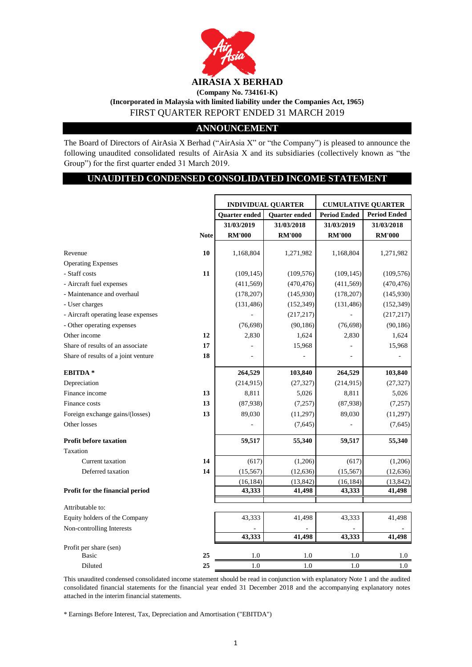

## **(Incorporated in Malaysia with limited liability under the Companies Act, 1965)** FIRST QUARTER REPORT ENDED 31 MARCH 2019 **(Company No. 734161-K)**

## **ANNOUNCEMENT**

The Board of Directors of AirAsia X Berhad ("AirAsia X" or "the Company") is pleased to announce the following unaudited consolidated results of AirAsia X and its subsidiaries (collectively known as "the Group") for the first quarter ended 31 March 2019.

## **UNAUDITED CONDENSED CONSOLIDATED INCOME STATEMENT**

|                                     |             | <b>INDIVIDUAL QUARTER</b> |               | <b>CUMULATIVE QUARTER</b> |                     |
|-------------------------------------|-------------|---------------------------|---------------|---------------------------|---------------------|
|                                     |             | Quarter ended             | Quarter ended | <b>Period Ended</b>       | <b>Period Ended</b> |
|                                     |             | 31/03/2019                | 31/03/2018    | 31/03/2019                | 31/03/2018          |
|                                     | <b>Note</b> | <b>RM'000</b>             | <b>RM'000</b> | <b>RM'000</b>             | <b>RM'000</b>       |
|                                     |             |                           |               |                           |                     |
| Revenue                             | 10          | 1,168,804                 | 1,271,982     | 1,168,804                 | 1,271,982           |
| <b>Operating Expenses</b>           |             |                           |               |                           |                     |
| - Staff costs                       | 11          | (109, 145)                | (109, 576)    | (109, 145)                | (109, 576)          |
| - Aircraft fuel expenses            |             | (411, 569)                | (470, 476)    | (411, 569)                | (470, 476)          |
| - Maintenance and overhaul          |             | (178, 207)                | (145,930)     | (178, 207)                | (145, 930)          |
| - User charges                      |             | (131, 486)                | (152, 349)    | (131, 486)                | (152, 349)          |
| - Aircraft operating lease expenses |             |                           | (217, 217)    |                           | (217, 217)          |
| - Other operating expenses          |             | (76, 698)                 | (90, 186)     | (76, 698)                 | (90, 186)           |
| Other income                        | 12          | 2,830                     | 1,624         | 2,830                     | 1,624               |
| Share of results of an associate    | 17          |                           | 15,968        |                           | 15,968              |
| Share of results of a joint venture | 18          |                           |               |                           |                     |
| <b>EBITDA*</b>                      |             | 264,529                   | 103,840       | 264,529                   | 103,840             |
| Depreciation                        |             | (214, 915)                | (27, 327)     | (214, 915)                | (27, 327)           |
| Finance income                      | 13          | 8,811                     | 5,026         | 8,811                     | 5,026               |
| Finance costs                       | 13          | (87,938)                  | (7, 257)      | (87,938)                  | (7, 257)            |
| Foreign exchange gains/(losses)     | 13          | 89,030                    | (11, 297)     | 89,030                    | (11,297)            |
| Other losses                        |             |                           | (7,645)       |                           | (7,645)             |
| <b>Profit before taxation</b>       |             | 59,517                    | 55,340        | 59,517                    | 55,340              |
| Taxation                            |             |                           |               |                           |                     |
| Current taxation                    | 14          | (617)                     | (1,206)       | (617)                     | (1,206)             |
| Deferred taxation                   | 14          | (15, 567)                 | (12, 636)     | (15, 567)                 | (12, 636)           |
|                                     |             | (16, 184)                 | (13, 842)     | (16, 184)                 | (13, 842)           |
| Profit for the financial period     |             | 43,333                    | 41,498        | 43,333                    | 41,498              |
|                                     |             |                           |               |                           |                     |
| Attributable to:                    |             |                           |               |                           |                     |
| Equity holders of the Company       |             | 43,333                    | 41,498        | 43,333                    | 41,498              |
| Non-controlling Interests           |             | 43,333                    | 41,498        | 43,333                    | 41,498              |
| Profit per share (sen)              |             |                           |               |                           |                     |
| <b>Basic</b>                        | 25          | 1.0                       | 1.0           | 1.0                       | 1.0                 |
| Diluted                             | 25          | 1.0                       | 1.0           | 1.0                       | 1.0                 |

This unaudited condensed consolidated income statement should be read in conjunction with explanatory Note 1 and the audited consolidated financial statements for the financial year ended 31 December 2018 and the accompanying explanatory notes attached in the interim financial statements.

\* Earnings Before Interest, Tax, Depreciation and Amortisation ("EBITDA")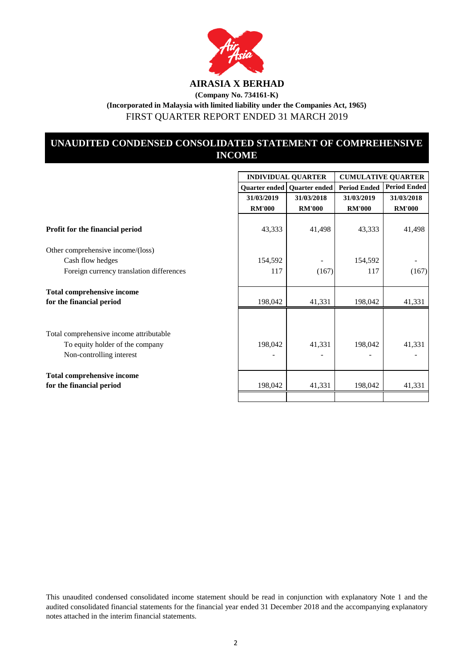

## **UNAUDITED CONDENSED CONSOLIDATED STATEMENT OF COMPREHENSIVE INCOME**

|                                          |               | <b>INDIVIDUAL QUARTER</b>     | <b>CUMULATIVE QUARTER</b> |                     |
|------------------------------------------|---------------|-------------------------------|---------------------------|---------------------|
|                                          |               | Quarter ended   Quarter ended | <b>Period Ended</b>       | <b>Period Ended</b> |
|                                          | 31/03/2019    | 31/03/2018                    | 31/03/2019                | 31/03/2018          |
|                                          | <b>RM'000</b> | <b>RM'000</b>                 | <b>RM'000</b>             | <b>RM'000</b>       |
|                                          |               |                               |                           |                     |
| Profit for the financial period          | 43,333        | 41,498                        | 43,333                    | 41,498              |
| Other comprehensive income/(loss)        |               |                               |                           |                     |
| Cash flow hedges                         | 154,592       |                               | 154,592                   |                     |
| Foreign currency translation differences | 117           | (167)                         | 117                       | (167)               |
| <b>Total comprehensive income</b>        |               |                               |                           |                     |
| for the financial period                 | 198,042       | 41,331                        | 198,042                   | 41,331              |
|                                          |               |                               |                           |                     |
| Total comprehensive income attributable  |               |                               |                           |                     |
| To equity holder of the company          | 198,042       | 41,331                        | 198,042                   | 41,331              |
| Non-controlling interest                 |               |                               |                           |                     |
| <b>Total comprehensive income</b>        |               |                               |                           |                     |
| for the financial period                 | 198,042       | 41,331                        | 198,042                   | 41,331              |
|                                          |               |                               |                           |                     |

This unaudited condensed consolidated income statement should be read in conjunction with explanatory Note 1 and the audited consolidated financial statements for the financial year ended 31 December 2018 and the accompanying explanatory notes attached in the interim financial statements.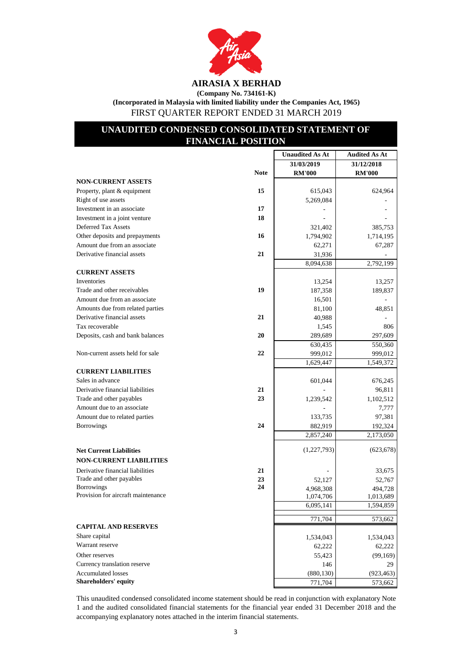

**AIRASIA X BERHAD (Company No. 734161-K)**

**(Incorporated in Malaysia with limited liability under the Companies Act, 1965)** FIRST QUARTER REPORT ENDED 31 MARCH 2019

## **UNAUDITED CONDENSED CONSOLIDATED STATEMENT OF FINANCIAL POSITION**

|                                    |             | <b>Unaudited As At</b> | <b>Audited As At</b> |
|------------------------------------|-------------|------------------------|----------------------|
|                                    |             | 31/03/2019             | 31/12/2018           |
|                                    | <b>Note</b> | <b>RM'000</b>          | <b>RM'000</b>        |
| <b>NON-CURRENT ASSETS</b>          |             |                        |                      |
| Property, plant & equipment        | 15          | 615,043                | 624,964              |
| Right of use assets                |             | 5,269,084              |                      |
| Investment in an associate         | 17          |                        |                      |
| Investment in a joint venture      | 18          |                        |                      |
| Deferred Tax Assets                |             | 321,402                | 385,753              |
| Other deposits and prepayments     | 16          | 1,794,902              | 1,714,195            |
| Amount due from an associate       |             | 62,271                 | 67,287               |
| Derivative financial assets        | 21          | 31,936                 |                      |
|                                    |             | 8,094,638              | 2,792,199            |
| <b>CURRENT ASSETS</b>              |             |                        |                      |
| Inventories                        |             | 13,254                 | 13,257               |
| Trade and other receivables        | 19          | 187,358                | 189,837              |
| Amount due from an associate       |             | 16,501                 |                      |
| Amounts due from related parties   |             | 81,100                 | 48,851               |
| Derivative financial assets        | 21          | 40,988                 |                      |
| Tax recoverable                    |             | 1,545                  | 806                  |
| Deposits, cash and bank balances   | 20          | 289,689                | 297,609              |
|                                    |             | 630,435                | 550,360              |
| Non-current assets held for sale   | 22          | 999,012                | 999,012              |
|                                    |             | 1,629,447              | 1,549,372            |
| <b>CURRENT LIABILITIES</b>         |             |                        |                      |
| Sales in advance                   |             | 601,044                | 676,245              |
| Derivative financial liabilities   | 21          |                        | 96,811               |
| Trade and other payables           | 23          | 1,239,542              | 1,102,512            |
| Amount due to an associate         |             |                        | 7,777                |
| Amount due to related parties      |             | 133,735                | 97,381               |
| Borrowings                         | 24          | 882,919                | 192,324              |
|                                    |             | 2,857,240              | 2,173,050            |
|                                    |             |                        |                      |
| <b>Net Current Liabilities</b>     |             | (1, 227, 793)          | (623, 678)           |
| <b>NON-CURRENT LIABILITIES</b>     |             |                        |                      |
| Derivative financial liabilities   | 21          |                        | 33,675               |
| Trade and other payables           | 23          | 52,127                 | 52,767               |
| Borrowings                         | 24          | 4,968,308              | 494,728              |
| Provision for aircraft maintenance |             | 1,074,706              | 1,013,689            |
|                                    |             | 6,095,141              | 1,594,859            |
|                                    |             | 771,704                | 573,662              |
| <b>CAPITAL AND RESERVES</b>        |             |                        |                      |
| Share capital                      |             | 1,534,043              | 1,534,043            |
| Warrant reserve                    |             | 62,222                 | 62,222               |
| Other reserves                     |             | 55,423                 | (99,169)             |
| Currency translation reserve       |             | 146                    | 29                   |
| <b>Accumulated losses</b>          |             | (880, 130)             | (923, 463)           |
| Shareholders' equity               |             | 771,704                | 573,662              |

This unaudited condensed consolidated income statement should be read in conjunction with explanatory Note 1 and the audited consolidated financial statements for the financial year ended 31 December 2018 and the accompanying explanatory notes attached in the interim financial statements.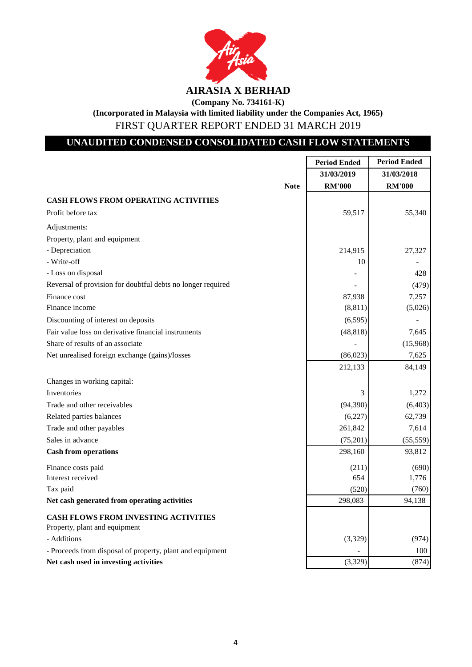

## **UNAUDITED CONDENSED CONSOLIDATED CASH FLOW STATEMENTS**

|                                                             | <b>Period Ended</b> | <b>Period Ended</b> |
|-------------------------------------------------------------|---------------------|---------------------|
|                                                             | 31/03/2019          | 31/03/2018          |
| <b>Note</b>                                                 | <b>RM'000</b>       | <b>RM'000</b>       |
| <b>CASH FLOWS FROM OPERATING ACTIVITIES</b>                 |                     |                     |
| Profit before tax                                           | 59,517              | 55,340              |
| Adjustments:                                                |                     |                     |
| Property, plant and equipment                               |                     |                     |
| - Depreciation                                              | 214,915             | 27,327              |
| - Write-off                                                 | 10                  |                     |
| - Loss on disposal                                          |                     | 428                 |
| Reversal of provision for doubtful debts no longer required |                     | (479)               |
| Finance cost                                                | 87,938              | 7,257               |
| Finance income                                              | (8, 811)            | (5,026)             |
| Discounting of interest on deposits                         | (6, 595)            |                     |
| Fair value loss on derivative financial instruments         | (48, 818)           | 7,645               |
| Share of results of an associate                            |                     | (15,968)            |
| Net unrealised foreign exchange (gains)/losses              | (86,023)            | 7,625               |
|                                                             | 212,133             | 84,149              |
| Changes in working capital:                                 |                     |                     |
| Inventories                                                 | 3                   | 1,272               |
| Trade and other receivables                                 | (94, 390)           | (6,403)             |
| Related parties balances                                    | (6,227)             | 62,739              |
| Trade and other payables                                    | 261,842             | 7,614               |
| Sales in advance                                            | (75,201)            | (55, 559)           |
| <b>Cash from operations</b>                                 | 298,160             | 93,812              |
| Finance costs paid                                          | (211)               | (690)               |
| Interest received                                           | 654                 | 1,776               |
| Tax paid                                                    | (520)               | (760)               |
| Net cash generated from operating activities                | 298,083             | 94,138              |
| <b>CASH FLOWS FROM INVESTING ACTIVITIES</b>                 |                     |                     |
| Property, plant and equipment                               |                     |                     |
| - Additions                                                 | (3,329)             | (974)               |
| - Proceeds from disposal of property, plant and equipment   |                     | 100                 |
| Net cash used in investing activities                       | (3,329)             | (874)               |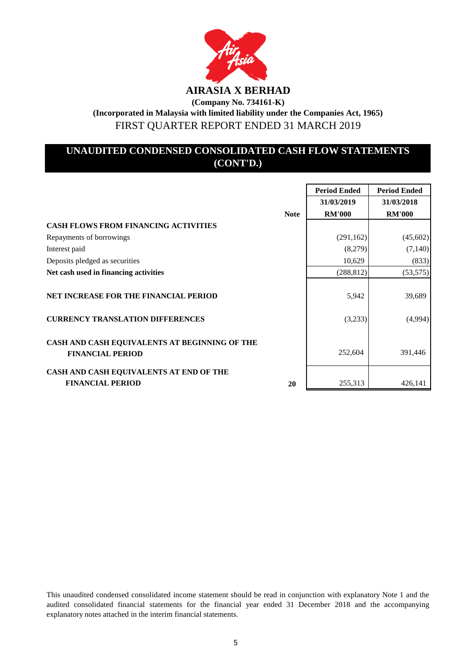

## **UNAUDITED CONDENSED CONSOLIDATED CASH FLOW STATEMENTS (CONT'D.)**

|                                                                          |             | <b>Period Ended</b> | <b>Period Ended</b> |
|--------------------------------------------------------------------------|-------------|---------------------|---------------------|
|                                                                          |             | 31/03/2019          | 31/03/2018          |
|                                                                          | <b>Note</b> | <b>RM'000</b>       | <b>RM'000</b>       |
| <b>CASH FLOWS FROM FINANCING ACTIVITIES</b>                              |             |                     |                     |
| Repayments of borrowings                                                 |             | (291, 162)          | (45,602)            |
| Interest paid                                                            |             | (8,279)             | (7,140)             |
| Deposits pledged as securities                                           |             | 10,629              | (833)               |
| Net cash used in financing activities                                    |             | (288, 812)          | (53, 575)           |
| <b>NET INCREASE FOR THE FINANCIAL PERIOD</b>                             |             | 5,942               | 39,689              |
| <b>CURRENCY TRANSLATION DIFFERENCES</b>                                  |             | (3,233)             | (4,994)             |
| CASH AND CASH EQUIVALENTS AT BEGINNING OF THE<br><b>FINANCIAL PERIOD</b> |             | 252,604             | 391,446             |
| CASH AND CASH EQUIVALENTS AT END OF THE<br><b>FINANCIAL PERIOD</b>       | 20          | 255,313             | 426,141             |

This unaudited condensed consolidated income statement should be read in conjunction with explanatory Note 1 and the audited consolidated financial statements for the financial year ended 31 December 2018 and the accompanying explanatory notes attached in the interim financial statements.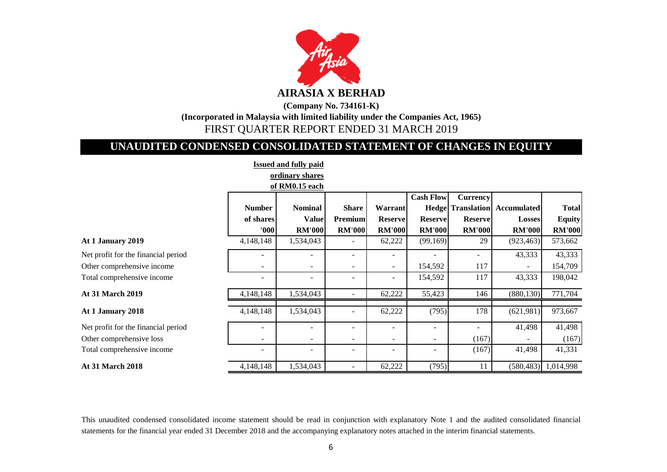

**AIRASIA X BERHAD**

**(Company No. 734161-K) (Incorporated in Malaysia with limited liability under the Companies Act, 1965)** FIRST QUARTER REPORT ENDED 31 MARCH 2019

# **UNAUDITED CONDENSED CONSOLIDATED STATEMENT OF CHANGES IN EQUITY**

**Issued and fully paid**

|                                     |               | 1990'a dha runy para     |                          |                   |                          |                          |                          |               |
|-------------------------------------|---------------|--------------------------|--------------------------|-------------------|--------------------------|--------------------------|--------------------------|---------------|
|                                     |               | ordinary shares          |                          |                   |                          |                          |                          |               |
|                                     |               | of RM0.15 each           |                          |                   |                          |                          |                          |               |
|                                     |               |                          |                          |                   | <b>Cash Flow</b>         | Currency                 |                          |               |
|                                     | <b>Number</b> | <b>Nominal</b>           | <b>Share</b>             | Warrant           |                          | <b>Hedge</b> Translation | <b>Accumulated</b>       | <b>Total</b>  |
|                                     | of shares     | <b>Value</b>             | <b>Premium</b>           | <b>Reserve</b>    | <b>Reserve</b>           | <b>Reserve</b>           | <b>Losses</b>            | <b>Equity</b> |
|                                     | 000           | <b>RM'000</b>            | <b>RM'000</b>            | <b>RM'000</b>     | <b>RM'000</b>            | <b>RM'000</b>            | <b>RM'000</b>            | <b>RM'000</b> |
| At 1 January 2019                   | 4,148,148     | 1,534,043                |                          | 62,222            | (99,169)                 | 29                       | (923, 463)               | 573,662       |
| Net profit for the financial period |               |                          |                          |                   |                          |                          | 43,333                   | 43,333        |
| Other comprehensive income          |               |                          | $\overline{\phantom{a}}$ | $\sim$            | 154,592                  | 117                      | $\overline{\phantom{a}}$ | 154,709       |
| Total comprehensive income          |               |                          | ۰                        | $\qquad \qquad -$ | 154,592                  | 117                      | 43,333                   | 198,042       |
| <b>At 31 March 2019</b>             | 4,148,148     | 1,534,043                | $\overline{\phantom{a}}$ | 62,222            | 55,423                   | 146                      | (880, 130)               | 771,704       |
| At 1 January 2018                   | 4,148,148     | 1,534,043                | $\overline{\phantom{a}}$ | 62,222            | (795)                    | 178                      | (621,981)                | 973,667       |
| Net profit for the financial period |               |                          |                          |                   |                          |                          | 41,498                   | 41,498        |
| Other comprehensive loss            |               | $\overline{\phantom{a}}$ | $\overline{\phantom{a}}$ | ۰.                | $\overline{\phantom{a}}$ | (167)                    |                          | (167)         |
| Total comprehensive income          |               |                          | ÷                        | ٠                 |                          | (167)                    | 41,498                   | 41,331        |
| <b>At 31 March 2018</b>             | 4,148,148     | 1,534,043                | $\overline{\phantom{a}}$ | 62,222            | (795)                    | 11                       | (580, 483)               | 1,014,998     |

This unaudited condensed consolidated income statement should be read in conjunction with explanatory Note 1 and the audited consolidated financial statements for the financial year ended 31 December 2018 and the accompanying explanatory notes attached in the interim financial statements.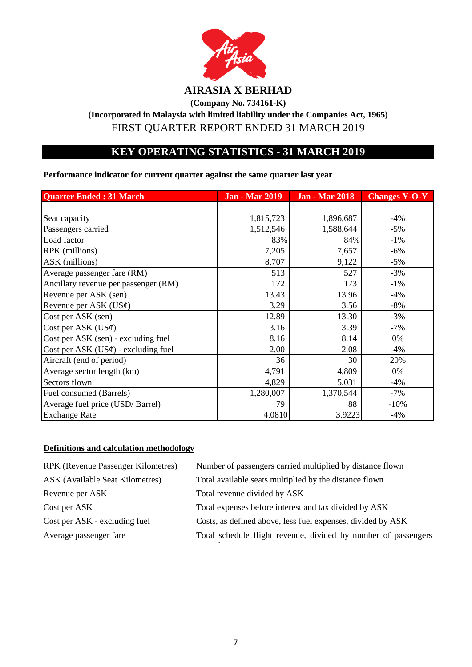

**(Company No. 734161-K)**

**(Incorporated in Malaysia with limited liability under the Companies Act, 1965)** FIRST QUARTER REPORT ENDED 31 MARCH 2019

## **KEY OPERATING STATISTICS - 31 MARCH 2019**

**Performance indicator for current quarter against the same quarter last year**

| <b>Quarter Ended: 31 March</b>           | <b>Jan - Mar 2019</b> | <b>Jan - Mar 2018</b> | <b>Changes Y-O-Y</b> |
|------------------------------------------|-----------------------|-----------------------|----------------------|
|                                          |                       |                       |                      |
| Seat capacity                            | 1,815,723             | 1,896,687             | $-4%$                |
| Passengers carried                       | 1,512,546             | 1,588,644             | $-5%$                |
| Load factor                              | 83%                   | 84%                   | $-1%$                |
| RPK (millions)                           | 7,205                 | 7,657                 | $-6%$                |
| ASK (millions)                           | 8,707                 | 9,122                 | $-5%$                |
| Average passenger fare (RM)              | 513                   | 527                   | $-3%$                |
| Ancillary revenue per passenger (RM)     | 172                   | 173                   | $-1%$                |
| Revenue per ASK (sen)                    | 13.43                 | 13.96                 | $-4%$                |
| Revenue per ASK $(US\phi)$               | 3.29                  | 3.56                  | $-8%$                |
| Cost per ASK (sen)                       | 12.89                 | 13.30                 | $-3%$                |
| Cost per ASK $(US\varphi)$               | 3.16                  | 3.39                  | $-7%$                |
| Cost per ASK (sen) - excluding fuel      | 8.16                  | 8.14                  | 0%                   |
| Cost per ASK $(US\phi)$ - excluding fuel | 2.00                  | 2.08                  | $-4%$                |
| Aircraft (end of period)                 | 36                    | 30                    | 20%                  |
| Average sector length (km)               | 4,791                 | 4,809                 | 0%                   |
| Sectors flown                            | 4,829                 | 5,031                 | $-4%$                |
| Fuel consumed (Barrels)                  | 1,280,007             | 1,370,544             | $-7%$                |
| Average fuel price (USD/Barrel)          | 79                    | 88                    | $-10%$               |
| <b>Exchange Rate</b>                     | 4.0810                | 3.9223                | $-4%$                |

## **Definitions and calculation methodology**

| <b>RPK</b> (Revenue Passenger Kilometres) | Number of passengers carried multiplied by distance flown      |
|-------------------------------------------|----------------------------------------------------------------|
| ASK (Available Seat Kilometres)           | Total available seats multiplied by the distance flown         |
| Revenue per ASK                           | Total revenue divided by ASK                                   |
| Cost per ASK                              | Total expenses before interest and tax divided by ASK          |
| Cost per ASK - excluding fuel             | Costs, as defined above, less fuel expenses, divided by ASK    |
| Average passenger fare                    | Total schedule flight revenue, divided by number of passengers |
|                                           |                                                                |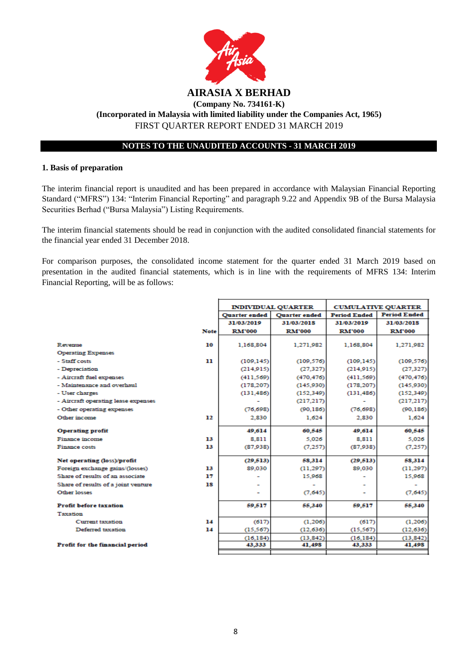

#### **1. Basis of preparation**

The interim financial report is unaudited and has been prepared in accordance with Malaysian Financial Reporting Standard ("MFRS") 134: "Interim Financial Reporting" and paragraph 9.22 and Appendix 9B of the Bursa Malaysia Securities Berhad ("Bursa Malaysia") Listing Requirements.

The interim financial statements should be read in conjunction with the audited consolidated financial statements for the financial year ended 31 December 2018.

For comparison purposes, the consolidated income statement for the quarter ended 31 March 2019 based on presentation in the audited financial statements, which is in line with the requirements of MFRS 134: Interim Financial Reporting, will be as follows:

|                                     |             | <b>INDIVIDUAL QUARTER</b> |                      | <b>CUMULATIVE QUARTER</b> |                     |
|-------------------------------------|-------------|---------------------------|----------------------|---------------------------|---------------------|
|                                     |             | <b>Quarter</b> ended      | <b>Ouarter</b> ended | <b>Period Ended</b>       | <b>Period Ended</b> |
|                                     |             | 31/03/2019                | 31/03/2018           | 31/03/2019                | 31/03/2018          |
|                                     | <b>Note</b> | <b>RM'000</b>             | <b>RM'000</b>        | <b>RM'000</b>             | <b>RM'000</b>       |
|                                     |             |                           |                      |                           |                     |
| Revenue                             | 10          | 1,168,804                 | 1,271,982            | 1,168,804                 | 1,271,982           |
| <b>Operating Expenses</b>           |             |                           |                      |                           |                     |
| - Staff costs                       | 11          | (109, 145)                | (109, 576)           | (109, 145)                | (109, 576)          |
| - Depreciation                      |             | (214.915)                 | (27.327)             | (214.915)                 | (27, 327)           |
| - Aircraft fuel expenses            |             | (411.569)                 | (470.476)            | (411.569)                 | (470, 476)          |
| - Maintenance and overhaul          |             | (178, 207)                | (145,930)            | (178, 207)                | (145.930)           |
| - User charges                      |             | (131, 486)                | (152, 349)           | (131, 486)                | (152, 349)          |
| - Aircraft operating lease expenses |             |                           | (217, 217)           |                           | (217, 217)          |
| - Other operating expenses          |             | (76, 698)                 | (90.186)             | (76, 698)                 | (90, 186)           |
| Other income                        | 12          | 2,830                     | 1.624                | 2.830                     | 1.624               |
| <b>Operating profit</b>             |             | 49,614                    | 60,545               | 49,614                    | 60,545              |
| Finance income                      | 13          | 8.811                     | 5.026                | 8.811                     | 5.026               |
| <b>Finance costs</b>                | 13          | (87.938)                  | (7.257)              | (87,938)                  | (7,257)             |
|                                     |             |                           |                      |                           |                     |
| Net operating (loss)/profit         |             | (29.513)                  | 58,314               | (29.513)                  | 58,314              |
| Foreign exchange gains/(losses)     | 13          | 89,030                    | (11.297)             | 89.030                    | (11,297)            |
| Share of results of an associate    | 17          |                           | 15,968               |                           | 15,968              |
| Share of results of a joint venture | 18          |                           |                      |                           |                     |
| <b>Other losses</b>                 |             |                           | (7,645)              |                           | (7,645)             |
| <b>Profit before taxation</b>       |             | 59.517                    | 55,340               | 59,517                    | 55,340              |
| Taxation                            |             |                           |                      |                           |                     |
| <b>Current taxation</b>             | 14          | (617)                     | (1.206)              | (617)                     | (1,206)             |
| Deferred taxation                   | 14          | (15.567)                  | (12, 636)            | (15, 567)                 | (12, 636)           |
|                                     |             | (16.184)                  | (13, 842)            | (16, 184)                 | (13, 842)           |
| Profit for the financial period     |             | 43,333                    | 41,498               | 43,333                    | 41,498              |
|                                     |             |                           |                      |                           |                     |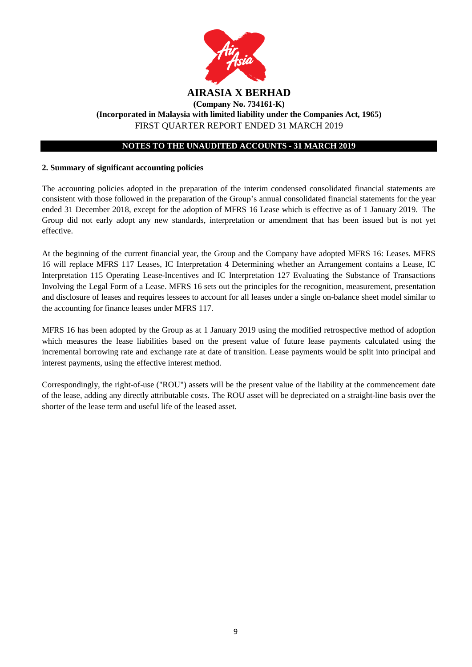

## **2. Summary of significant accounting policies**

The accounting policies adopted in the preparation of the interim condensed consolidated financial statements are consistent with those followed in the preparation of the Group's annual consolidated financial statements for the year ended 31 December 2018, except for the adoption of MFRS 16 Lease which is effective as of 1 January 2019. The Group did not early adopt any new standards, interpretation or amendment that has been issued but is not yet effective.

At the beginning of the current financial year, the Group and the Company have adopted MFRS 16: Leases. MFRS 16 will replace MFRS 117 Leases, IC Interpretation 4 Determining whether an Arrangement contains a Lease, IC Interpretation 115 Operating Lease-Incentives and IC Interpretation 127 Evaluating the Substance of Transactions Involving the Legal Form of a Lease. MFRS 16 sets out the principles for the recognition, measurement, presentation and disclosure of leases and requires lessees to account for all leases under a single on-balance sheet model similar to the accounting for finance leases under MFRS 117.

MFRS 16 has been adopted by the Group as at 1 January 2019 using the modified retrospective method of adoption which measures the lease liabilities based on the present value of future lease payments calculated using the incremental borrowing rate and exchange rate at date of transition. Lease payments would be split into principal and interest payments, using the effective interest method.

Correspondingly, the right-of-use ("ROU") assets will be the present value of the liability at the commencement date of the lease, adding any directly attributable costs. The ROU asset will be depreciated on a straight-line basis over the shorter of the lease term and useful life of the leased asset.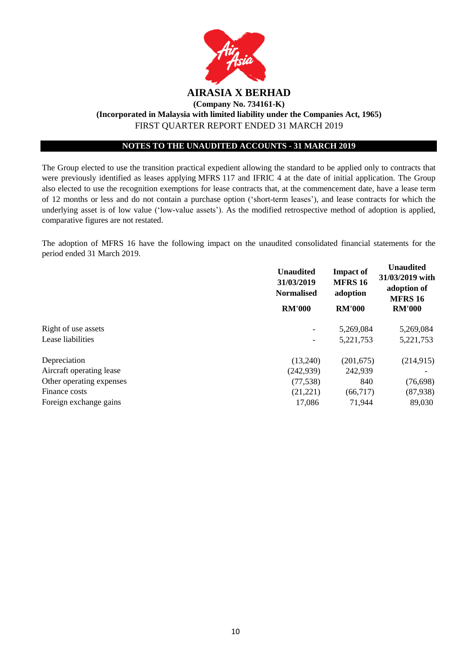

The Group elected to use the transition practical expedient allowing the standard to be applied only to contracts that were previously identified as leases applying MFRS 117 and IFRIC 4 at the date of initial application. The Group also elected to use the recognition exemptions for lease contracts that, at the commencement date, have a lease term of 12 months or less and do not contain a purchase option ('short-term leases'), and lease contracts for which the underlying asset is of low value ('low-value assets'). As the modified retrospective method of adoption is applied, comparative figures are not restated.

The adoption of MFRS 16 have the following impact on the unaudited consolidated financial statements for the period ended 31 March 2019.

|                          | <b>Unaudited</b><br>31/03/2019<br><b>Normalised</b> | <b>Impact of</b><br><b>MFRS 16</b><br>adoption | <b>Unaudited</b><br>31/03/2019 with<br>adoption of<br><b>MFRS 16</b> |
|--------------------------|-----------------------------------------------------|------------------------------------------------|----------------------------------------------------------------------|
|                          | <b>RM'000</b>                                       | <b>RM'000</b>                                  | <b>RM'000</b>                                                        |
| Right of use assets      |                                                     | 5,269,084                                      | 5,269,084                                                            |
| Lease liabilities        | $\overline{\phantom{a}}$                            | 5,221,753                                      | 5, 221, 753                                                          |
| Depreciation             | (13,240)                                            | (201, 675)                                     | (214, 915)                                                           |
| Aircraft operating lease | (242, 939)                                          | 242,939                                        |                                                                      |
| Other operating expenses | (77, 538)                                           | 840                                            | (76, 698)                                                            |
| Finance costs            | (21, 221)                                           | (66,717)                                       | (87,938)                                                             |
| Foreign exchange gains   | 17,086                                              | 71,944                                         | 89,030                                                               |
|                          |                                                     |                                                |                                                                      |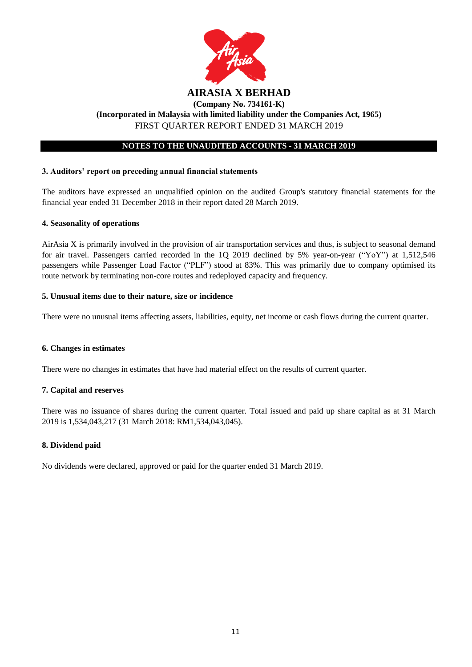

## **3. Auditors' report on preceding annual financial statements**

The auditors have expressed an unqualified opinion on the audited Group's statutory financial statements for the financial year ended 31 December 2018 in their report dated 28 March 2019.

## **4. Seasonality of operations**

AirAsia X is primarily involved in the provision of air transportation services and thus, is subject to seasonal demand for air travel. Passengers carried recorded in the 1Q 2019 declined by 5% year-on-year ("YoY") at 1,512,546 passengers while Passenger Load Factor ("PLF") stood at 83%. This was primarily due to company optimised its route network by terminating non-core routes and redeployed capacity and frequency.

## **5. Unusual items due to their nature, size or incidence**

There were no unusual items affecting assets, liabilities, equity, net income or cash flows during the current quarter.

## **6. Changes in estimates**

There were no changes in estimates that have had material effect on the results of current quarter.

## **7. Capital and reserves**

There was no issuance of shares during the current quarter. Total issued and paid up share capital as at 31 March 2019 is 1,534,043,217 (31 March 2018: RM1,534,043,045).

## **8. Dividend paid**

No dividends were declared, approved or paid for the quarter ended 31 March 2019.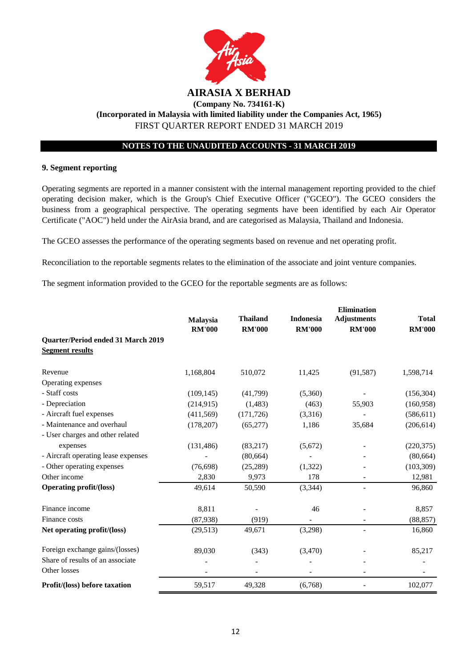

## **9. Segment reporting**

Operating segments are reported in a manner consistent with the internal management reporting provided to the chief operating decision maker, which is the Group's Chief Executive Officer ("GCEO"). The GCEO considers the business from a geographical perspective. The operating segments have been identified by each Air Operator Certificate ("AOC") held under the AirAsia brand, and are categorised as Malaysia, Thailand and Indonesia.

The GCEO assesses the performance of the operating segments based on revenue and net operating profit.

Reconciliation to the reportable segments relates to the elimination of the associate and joint venture companies.

The segment information provided to the GCEO for the reportable segments are as follows:

|                                     |                                  |                                  |                                   | <b>Elimination</b>                  |                               |
|-------------------------------------|----------------------------------|----------------------------------|-----------------------------------|-------------------------------------|-------------------------------|
|                                     | <b>Malaysia</b><br><b>RM'000</b> | <b>Thailand</b><br><b>RM'000</b> | <b>Indonesia</b><br><b>RM'000</b> | <b>Adjustments</b><br><b>RM'000</b> | <b>Total</b><br><b>RM'000</b> |
| Quarter/Period ended 31 March 2019  |                                  |                                  |                                   |                                     |                               |
| <b>Segment results</b>              |                                  |                                  |                                   |                                     |                               |
| Revenue                             | 1,168,804                        | 510,072                          | 11,425                            | (91, 587)                           | 1,598,714                     |
| Operating expenses                  |                                  |                                  |                                   |                                     |                               |
| - Staff costs                       | (109, 145)                       | (41,799)                         | (5,360)                           |                                     | (156, 304)                    |
| - Depreciation                      | (214, 915)                       | (1,483)                          | (463)                             | 55,903                              | (160, 958)                    |
| - Aircraft fuel expenses            | (411,569)                        | (171, 726)                       | (3,316)                           |                                     | (586, 611)                    |
| - Maintenance and overhaul          | (178, 207)                       | (65,277)                         | 1,186                             | 35,684                              | (206, 614)                    |
| - User charges and other related    |                                  |                                  |                                   |                                     |                               |
| expenses                            | (131, 486)                       | (83,217)                         | (5,672)                           |                                     | (220, 375)                    |
| - Aircraft operating lease expenses |                                  | (80, 664)                        |                                   |                                     | (80, 664)                     |
| - Other operating expenses          | (76,698)                         | (25, 289)                        | (1,322)                           |                                     | (103, 309)                    |
| Other income                        | 2,830                            | 9,973                            | 178                               |                                     | 12,981                        |
| <b>Operating profit/(loss)</b>      | 49,614                           | 50,590                           | (3, 344)                          |                                     | 96,860                        |
| Finance income                      | 8,811                            |                                  | 46                                |                                     | 8,857                         |
| Finance costs                       | (87,938)                         | (919)                            |                                   |                                     | (88, 857)                     |
| Net operating profit/(loss)         | (29,513)                         | 49,671                           | (3,298)                           |                                     | 16,860                        |
| Foreign exchange gains/(losses)     | 89,030                           | (343)                            | (3,470)                           |                                     | 85,217                        |
| Share of results of an associate    |                                  |                                  |                                   |                                     |                               |
| Other losses                        |                                  |                                  |                                   |                                     |                               |
| Profit/(loss) before taxation       | 59,517                           | 49,328                           | (6,768)                           |                                     | 102,077                       |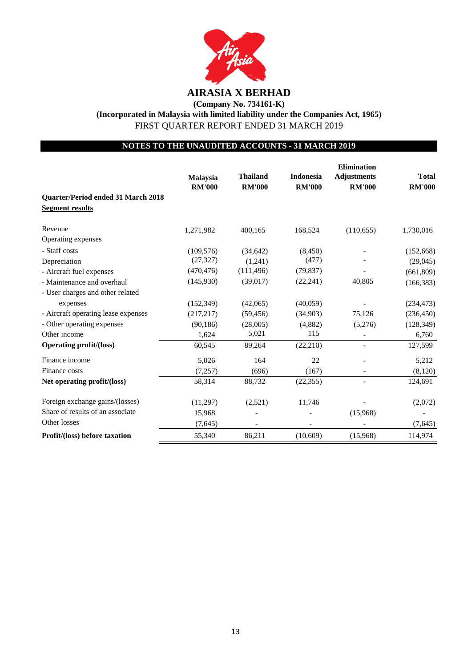

**(Company No. 734161-K)**

**(Incorporated in Malaysia with limited liability under the Companies Act, 1965)** FIRST QUARTER REPORT ENDED 31 MARCH 2019

## **NOTES TO THE UNAUDITED ACCOUNTS - 31 MARCH 2019**

|                                                              | Malaysia<br><b>RM'000</b> | <b>Thailand</b><br><b>RM'000</b> | <b>Indonesia</b><br><b>RM'000</b> | <b>Elimination</b><br><b>Adjustments</b><br><b>RM'000</b> | <b>Total</b><br><b>RM'000</b> |
|--------------------------------------------------------------|---------------------------|----------------------------------|-----------------------------------|-----------------------------------------------------------|-------------------------------|
| Quarter/Period ended 31 March 2018<br><b>Segment results</b> |                           |                                  |                                   |                                                           |                               |
| Revenue                                                      | 1,271,982                 | 400,165                          | 168,524                           | (110, 655)                                                | 1,730,016                     |
| Operating expenses                                           |                           |                                  |                                   |                                                           |                               |
| - Staff costs                                                | (109, 576)                | (34, 642)                        | (8, 450)                          |                                                           | (152,668)                     |
| Depreciation                                                 | (27, 327)                 | (1,241)                          | (477)                             |                                                           | (29,045)                      |
| - Aircraft fuel expenses                                     | (470, 476)                | (111, 496)                       | (79, 837)                         |                                                           | (661, 809)                    |
| - Maintenance and overhaul                                   | (145,930)                 | (39,017)                         | (22, 241)                         | 40,805                                                    | (166, 383)                    |
| - User charges and other related                             |                           |                                  |                                   |                                                           |                               |
| expenses                                                     | (152, 349)                | (42,065)                         | (40,059)                          |                                                           | (234, 473)                    |
| - Aircraft operating lease expenses                          | (217, 217)                | (59, 456)                        | (34,903)                          | 75,126                                                    | (236, 450)                    |
| - Other operating expenses                                   | (90, 186)                 | (28,005)                         | (4,882)                           | (5,276)                                                   | (128, 349)                    |
| Other income                                                 | 1,624                     | 5,021                            | 115                               | $\overline{\phantom{m}}$                                  | 6,760                         |
| <b>Operating profit/(loss)</b>                               | 60,545                    | 89,264                           | (22,210)                          |                                                           | 127,599                       |
| Finance income                                               | 5,026                     | 164                              | 22                                |                                                           | 5,212                         |
| Finance costs                                                | (7,257)                   | (696)                            | (167)                             |                                                           | (8,120)                       |
| Net operating profit/(loss)                                  | 58,314                    | 88,732                           | (22, 355)                         |                                                           | 124,691                       |
| Foreign exchange gains/(losses)                              | (11,297)                  | (2,521)                          | 11,746                            |                                                           | (2,072)                       |
| Share of results of an associate                             | 15,968                    |                                  |                                   | (15,968)                                                  |                               |
| Other losses                                                 | (7,645)                   |                                  |                                   |                                                           | (7,645)                       |
| Profit/(loss) before taxation                                | 55,340                    | 86,211                           | (10,609)                          | (15,968)                                                  | 114,974                       |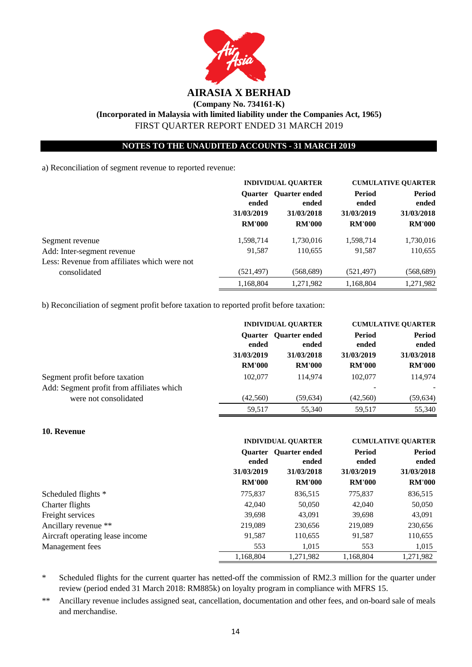

## **NOTES TO THE UNAUDITED ACCOUNTS - 31 MARCH 2019**

a) Reconciliation of segment revenue to reported revenue:

|                                              | <b>INDIVIDUAL QUARTER</b>            |               | <b>CUMULATIVE OUARTER</b>                           |                               |                                      |
|----------------------------------------------|--------------------------------------|---------------|-----------------------------------------------------|-------------------------------|--------------------------------------|
|                                              | ended<br>31/03/2019<br><b>RM'000</b> |               | <b>Ouarter Ouarter</b> ended<br>ended<br>31/03/2018 | Period<br>ended<br>31/03/2019 | <b>Period</b><br>ended<br>31/03/2018 |
|                                              |                                      | <b>RM'000</b> | <b>RM'000</b>                                       | <b>RM'000</b>                 |                                      |
| Segment revenue                              | 1,598,714                            | 1,730,016     | 1,598,714                                           | 1,730,016                     |                                      |
| Add: Inter-segment revenue                   | 91,587                               | 110,655       | 91,587                                              | 110,655                       |                                      |
| Less: Revenue from affiliates which were not |                                      |               |                                                     |                               |                                      |
| consolidated                                 | (521, 497)                           | (568,689)     | (521,497)                                           | (568,689)                     |                                      |
|                                              | 1,168,804                            | 1,271,982     | 1,168,804                                           | 1,271,982                     |                                      |

b) Reconciliation of segment profit before taxation to reported profit before taxation:

|                                                                             | <b>INDIVIDUAL OUARTER</b>             |                                             | <b>CUMULATIVE QUARTER</b> |                 |  |            |
|-----------------------------------------------------------------------------|---------------------------------------|---------------------------------------------|---------------------------|-----------------|--|------------|
|                                                                             | <b>Ouarter</b><br>ended<br>31/03/2019 | <b>Ouarter ended</b><br>ended<br>31/03/2018 | Period<br>ended           | Period<br>ended |  |            |
|                                                                             |                                       |                                             |                           |                 |  | 31/03/2019 |
|                                                                             | <b>RM'000</b>                         | <b>RM'000</b>                               | <b>RM'000</b>             | <b>RM'000</b>   |  |            |
| Segment profit before taxation<br>Add: Segment profit from affiliates which | 102,077                               | 114,974                                     | 102,077                   | 114,974         |  |            |
| were not consolidated                                                       | (42,560)                              | (59, 634)                                   | (42, 560)                 | (59, 634)       |  |            |
|                                                                             | 59,517                                | 55,340                                      | 59,517                    | 55,340          |  |            |

## **10. Revenue**

|                                 | <b>INDIVIDUAL QUARTER</b>            |                                                                      |                                                | <b>CUMULATIVE OUARTER</b>                             |  |
|---------------------------------|--------------------------------------|----------------------------------------------------------------------|------------------------------------------------|-------------------------------------------------------|--|
|                                 | ended<br>31/03/2019<br><b>RM'000</b> | <b>Ouarter Ouarter</b> ended<br>ended<br>31/03/2018<br><b>RM'000</b> | Period<br>ended<br>31/03/2019<br><b>RM'000</b> | <b>Period</b><br>ended<br>31/03/2018<br><b>RM'000</b> |  |
| Scheduled flights *             | 775,837                              | 836,515                                                              | 775,837                                        | 836,515                                               |  |
| Charter flights                 | 42,040                               | 50,050                                                               | 42,040                                         | 50,050                                                |  |
| Freight services                | 39,698                               | 43,091                                                               | 39,698                                         | 43,091                                                |  |
| Ancillary revenue **            | 219,089                              | 230,656                                                              | 219,089                                        | 230,656                                               |  |
| Aircraft operating lease income | 91,587                               | 110,655                                                              | 91,587                                         | 110,655                                               |  |
| Management fees                 | 553                                  | 1,015                                                                | 553                                            | 1,015                                                 |  |
|                                 | 1.168.804                            | 1.271.982                                                            | 1.168.804                                      | 1,271,982                                             |  |

\* Scheduled flights for the current quarter has netted-off the commission of RM2.3 million for the quarter under review (period ended 31 March 2018: RM885k) on loyalty program in compliance with MFRS 15.

\*\* Ancillary revenue includes assigned seat, cancellation, documentation and other fees, and on-board sale of meals and merchandise.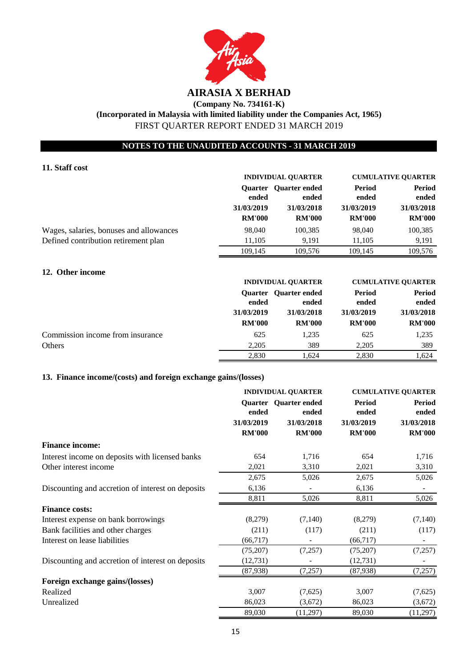

## **NOTES TO THE UNAUDITED ACCOUNTS - 31 MARCH 2019**

## **11. Staff cost**

|                                         | <b>INDIVIDUAL OUARTER</b> |                                                                                      | <b>CUMULATIVE OUARTER</b> |               |  |                                      |
|-----------------------------------------|---------------------------|--------------------------------------------------------------------------------------|---------------------------|---------------|--|--------------------------------------|
|                                         | ended<br>31/03/2019       | <b>Ouarter Quarter</b> ended<br>Period<br>ended<br>ended<br>31/03/2018<br>31/03/2019 |                           |               |  | <b>Period</b><br>ended<br>31/03/2018 |
|                                         | <b>RM'000</b>             | <b>RM'000</b>                                                                        | <b>RM'000</b>             | <b>RM'000</b> |  |                                      |
| Wages, salaries, bonuses and allowances | 98,040                    | 100,385                                                                              | 98,040                    | 100,385       |  |                                      |
| Defined contribution retirement plan    | 11.105                    | 9.191                                                                                | 11,105                    | 9,191         |  |                                      |
|                                         | 109,145                   | 109.576                                                                              | 109,145                   | 109,576       |  |                                      |

## **12. Other income**

|                                  | <b>INDIVIDUAL OUARTER</b> |                                                   | <b>CUMULATIVE QUARTER</b> |                        |
|----------------------------------|---------------------------|---------------------------------------------------|---------------------------|------------------------|
|                                  | ended                     | Period<br>Quarter Quarter ended<br>ended<br>ended |                           | <b>Period</b><br>ended |
|                                  | 31/03/2019                | 31/03/2018                                        | 31/03/2019                | 31/03/2018             |
|                                  | <b>RM'000</b>             | <b>RM'000</b>                                     | <b>RM'000</b>             | <b>RM'000</b>          |
| Commission income from insurance | 625                       | 1.235                                             | 625                       | 1,235                  |
| Others                           | 2.205                     | 389                                               | 2,205                     | 389                    |
|                                  | 2,830                     | 1.624                                             | 2.830                     | 1.624                  |

## **13. Finance income/(costs) and foreign exchange gains/(losses)**

|                                                   | <b>INDIVIDUAL QUARTER</b> |                                |                        | <b>CUMULATIVE QUARTER</b> |  |
|---------------------------------------------------|---------------------------|--------------------------------|------------------------|---------------------------|--|
|                                                   | ended                     | Quarter Quarter ended<br>ended | <b>Period</b><br>ended | <b>Period</b><br>ended    |  |
|                                                   | 31/03/2019                | 31/03/2018                     | 31/03/2019             | 31/03/2018                |  |
|                                                   | <b>RM'000</b>             | <b>RM'000</b>                  | <b>RM'000</b>          | <b>RM'000</b>             |  |
| <b>Finance income:</b>                            |                           |                                |                        |                           |  |
| Interest income on deposits with licensed banks   | 654                       | 1,716                          | 654                    | 1,716                     |  |
| Other interest income                             | 2,021                     | 3,310                          | 2,021                  | 3,310                     |  |
|                                                   | 2,675                     | 5,026                          | 2,675                  | 5,026                     |  |
| Discounting and accretion of interest on deposits | 6,136                     |                                | 6,136                  |                           |  |
|                                                   | 8,811                     | 5,026                          | 8,811                  | 5,026                     |  |
| <b>Finance costs:</b>                             |                           |                                |                        |                           |  |
| Interest expense on bank borrowings               | (8,279)                   | (7,140)                        | (8,279)                | (7,140)                   |  |
| Bank facilities and other charges                 | (211)                     | (117)                          | (211)                  | (117)                     |  |
| Interest on lease liabilities                     | (66,717)                  |                                | (66,717)               |                           |  |
|                                                   | (75,207)                  | (7,257)                        | (75,207)               | (7,257)                   |  |
| Discounting and accretion of interest on deposits | (12, 731)                 |                                | (12, 731)              |                           |  |
|                                                   | (87,938)                  | (7,257)                        | (87,938)               | (7,257)                   |  |
| Foreign exchange gains/(losses)                   |                           |                                |                        |                           |  |
| Realized                                          | 3,007                     | (7,625)                        | 3,007                  | (7,625)                   |  |
| Unrealized                                        | 86,023                    | (3,672)                        | 86,023                 | (3,672)                   |  |
|                                                   | 89,030                    | (11,297)                       | 89,030                 | (11,297)                  |  |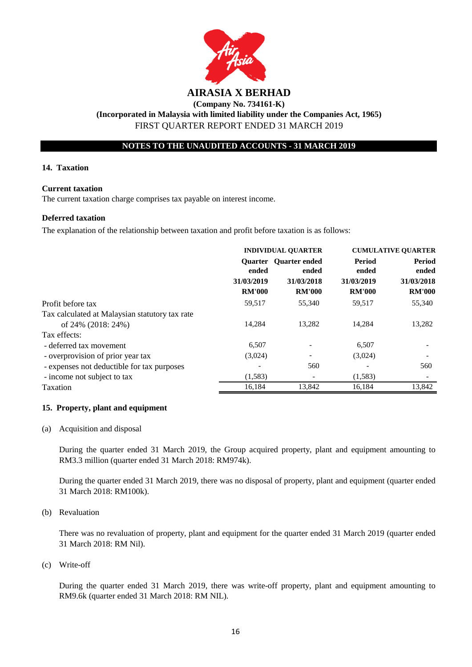

## **NOTES TO THE UNAUDITED ACCOUNTS - 31 MARCH 2019**

#### **14. Taxation**

#### **Current taxation**

The current taxation charge comprises tax payable on interest income.

#### **Deferred taxation**

The explanation of the relationship between taxation and profit before taxation is as follows:

|                                                                      | <b>INDIVIDUAL QUARTER</b>            |                                                                      | <b>CUMULATIVE QUARTER</b>                             |                                                       |
|----------------------------------------------------------------------|--------------------------------------|----------------------------------------------------------------------|-------------------------------------------------------|-------------------------------------------------------|
|                                                                      | ended<br>31/03/2019<br><b>RM'000</b> | <b>Ouarter Quarter</b> ended<br>ended<br>31/03/2018<br><b>RM'000</b> | <b>Period</b><br>ended<br>31/03/2019<br><b>RM'000</b> | <b>Period</b><br>ended<br>31/03/2018<br><b>RM'000</b> |
| Profit before tax                                                    | 59,517                               | 55,340                                                               | 59,517                                                | 55,340                                                |
| Tax calculated at Malaysian statutory tax rate<br>of 24% (2018: 24%) | 14.284                               | 13,282                                                               | 14,284                                                | 13,282                                                |
| Tax effects:                                                         |                                      |                                                                      |                                                       |                                                       |
| - deferred tax movement                                              | 6,507                                |                                                                      | 6,507                                                 |                                                       |
| - overprovision of prior year tax                                    | (3,024)                              |                                                                      | (3,024)                                               |                                                       |
| - expenses not deductible for tax purposes                           |                                      | 560                                                                  |                                                       | 560                                                   |
| - income not subject to tax                                          | (1,583)                              |                                                                      | (1,583)                                               |                                                       |
| Taxation                                                             | 16.184                               | 13.842                                                               | 16.184                                                | 13.842                                                |

## **15. Property, plant and equipment**

#### (a) Acquisition and disposal

During the quarter ended 31 March 2019, the Group acquired property, plant and equipment amounting to RM3.3 million (quarter ended 31 March 2018: RM974k).

During the quarter ended 31 March 2019, there was no disposal of property, plant and equipment (quarter ended 31 March 2018: RM100k).

#### (b) Revaluation

There was no revaluation of property, plant and equipment for the quarter ended 31 March 2019 (quarter ended 31 March 2018: RM Nil).

#### (c) Write-off

During the quarter ended 31 March 2019, there was write-off property, plant and equipment amounting to RM9.6k (quarter ended 31 March 2018: RM NIL).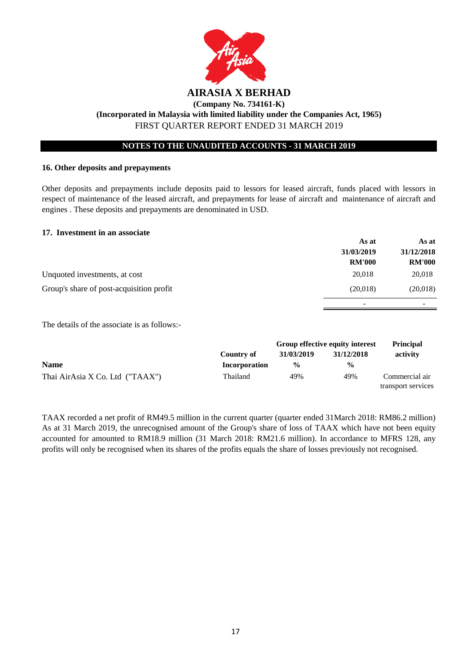

## **16. Other deposits and prepayments**

Other deposits and prepayments include deposits paid to lessors for leased aircraft, funds placed with lessors in respect of maintenance of the leased aircraft, and prepayments for lease of aircraft and maintenance of aircraft and engines . These deposits and prepayments are denominated in USD.

#### **17. Investment in an associate**

|                                          | As at         | As at                    |
|------------------------------------------|---------------|--------------------------|
|                                          | 31/03/2019    | 31/12/2018               |
|                                          | <b>RM'000</b> | <b>RM'000</b>            |
| Unquoted investments, at cost            | 20,018        | 20,018                   |
| Group's share of post-acquisition profit | (20,018)      | (20,018)                 |
|                                          | -             | $\overline{\phantom{0}}$ |

The details of the associate is as follows:-

|                                 | Country of    | Group effective equity interest |               | <b>Principal</b>   |
|---------------------------------|---------------|---------------------------------|---------------|--------------------|
|                                 |               | 31/03/2019                      | 31/12/2018    | activity           |
| <b>Name</b>                     | Incorporation | $\frac{0}{0}$                   | $\frac{0}{0}$ |                    |
| Thai AirAsia X Co. Ltd ("TAAX") | Thailand      | 49%                             | 49%           | Commercial air     |
|                                 |               |                                 |               | transport services |

TAAX recorded a net profit of RM49.5 million in the current quarter (quarter ended 31March 2018: RM86.2 million) As at 31 March 2019, the unrecognised amount of the Group's share of loss of TAAX which have not been equity accounted for amounted to RM18.9 million (31 March 2018: RM21.6 million). In accordance to MFRS 128, any profits will only be recognised when its shares of the profits equals the share of losses previously not recognised.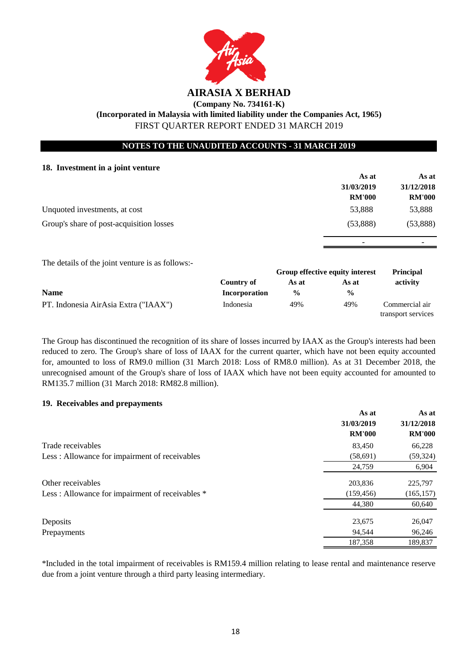

## **NOTES TO THE UNAUDITED ACCOUNTS - 31 MARCH 2019**

#### **18. Investment in a joint venture**

|                                          | As at         | As at         |
|------------------------------------------|---------------|---------------|
|                                          | 31/03/2019    | 31/12/2018    |
|                                          | <b>RM'000</b> | <b>RM'000</b> |
| Unquoted investments, at cost            | 53,888        | 53,888        |
| Group's share of post-acquisition losses | (53,888)      | (53,888)      |
|                                          |               |               |

The details of the joint venture is as follows:-

|                                      |               | Group effective equity interest |               | <b>Principal</b>                     |  |
|--------------------------------------|---------------|---------------------------------|---------------|--------------------------------------|--|
|                                      | Country of    | As at                           | As at         | activity                             |  |
| <b>Name</b>                          | Incorporation | $\frac{0}{0}$                   | $\frac{0}{0}$ |                                      |  |
| PT. Indonesia AirAsia Extra ("IAAX") | Indonesia     | 49%                             | 49%           | Commercial air<br>transport services |  |

The Group has discontinued the recognition of its share of losses incurred by IAAX as the Group's interests had been reduced to zero. The Group's share of loss of IAAX for the current quarter, which have not been equity accounted for, amounted to loss of RM9.0 million (31 March 2018: Loss of RM8.0 million). As at 31 December 2018, the unrecognised amount of the Group's share of loss of IAAX which have not been equity accounted for amounted to RM135.7 million (31 March 2018: RM82.8 million).

## **19. Receivables and prepayments**

|                                                 | As at         | As at         |
|-------------------------------------------------|---------------|---------------|
|                                                 | 31/03/2019    | 31/12/2018    |
|                                                 | <b>RM'000</b> | <b>RM'000</b> |
| Trade receivables                               | 83,450        | 66,228        |
| Less: Allowance for impairment of receivables   | (58,691)      | (59, 324)     |
|                                                 | 24,759        | 6,904         |
| Other receivables                               | 203,836       | 225,797       |
| Less: Allowance for impairment of receivables * | (159, 456)    | (165, 157)    |
|                                                 | 44,380        | 60,640        |
| Deposits                                        | 23,675        | 26,047        |
| Prepayments                                     | 94,544        | 96,246        |
|                                                 | 187,358       | 189,837       |

\*Included in the total impairment of receivables is RM159.4 million relating to lease rental and maintenance reserve due from a joint venture through a third party leasing intermediary.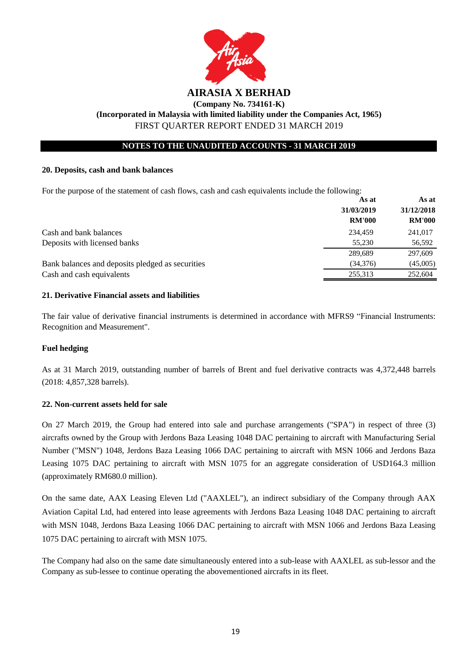

## **NOTES TO THE UNAUDITED ACCOUNTS - 31 MARCH 2019**

#### **20. Deposits, cash and bank balances**

For the purpose of the statement of cash flows, cash and cash equivalents include the following:

|                                                  | As at         | As at         |
|--------------------------------------------------|---------------|---------------|
|                                                  | 31/03/2019    | 31/12/2018    |
|                                                  | <b>RM'000</b> | <b>RM'000</b> |
| Cash and bank balances                           | 234,459       | 241,017       |
| Deposits with licensed banks                     | 55,230        | 56,592        |
|                                                  | 289,689       | 297,609       |
| Bank balances and deposits pledged as securities | (34,376)      | (45,005)      |
| Cash and cash equivalents                        | 255,313       | 252,604       |

#### **21. Derivative Financial assets and liabilities**

The fair value of derivative financial instruments is determined in accordance with MFRS9 "Financial Instruments: Recognition and Measurement".

## **Fuel hedging**

As at 31 March 2019, outstanding number of barrels of Brent and fuel derivative contracts was 4,372,448 barrels (2018: 4,857,328 barrels).

## **22. Non-current assets held for sale**

On 27 March 2019, the Group had entered into sale and purchase arrangements ("SPA") in respect of three (3) aircrafts owned by the Group with Jerdons Baza Leasing 1048 DAC pertaining to aircraft with Manufacturing Serial Number ("MSN") 1048, Jerdons Baza Leasing 1066 DAC pertaining to aircraft with MSN 1066 and Jerdons Baza Leasing 1075 DAC pertaining to aircraft with MSN 1075 for an aggregate consideration of USD164.3 million (approximately RM680.0 million).

On the same date, AAX Leasing Eleven Ltd ("AAXLEL"), an indirect subsidiary of the Company through AAX Aviation Capital Ltd, had entered into lease agreements with Jerdons Baza Leasing 1048 DAC pertaining to aircraft with MSN 1048, Jerdons Baza Leasing 1066 DAC pertaining to aircraft with MSN 1066 and Jerdons Baza Leasing 1075 DAC pertaining to aircraft with MSN 1075.

The Company had also on the same date simultaneously entered into a sub-lease with AAXLEL as sub-lessor and the Company as sub-lessee to continue operating the abovementioned aircrafts in its fleet.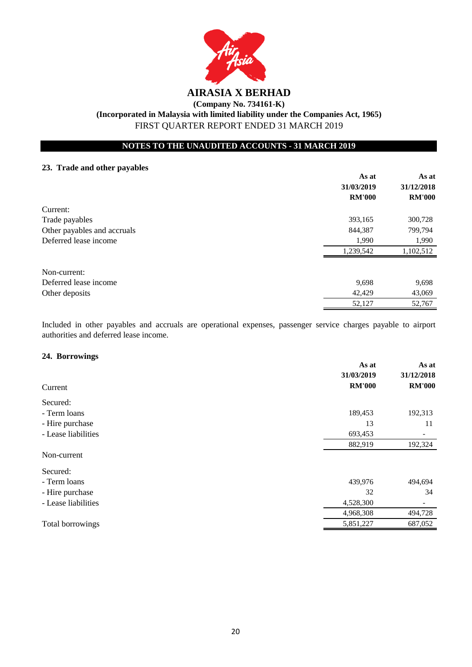

## **NOTES TO THE UNAUDITED ACCOUNTS - 31 MARCH 2019**

## **23. Trade and other payables**

|                             | As at         | As at         |
|-----------------------------|---------------|---------------|
|                             | 31/03/2019    | 31/12/2018    |
|                             | <b>RM'000</b> | <b>RM'000</b> |
| Current:                    |               |               |
| Trade payables              | 393,165       | 300,728       |
| Other payables and accruals | 844,387       | 799,794       |
| Deferred lease income       | 1,990         | 1,990         |
|                             | 1,239,542     | 1,102,512     |
| Non-current:                |               |               |
| Deferred lease income       | 9,698         | 9,698         |
| Other deposits              | 42,429        | 43,069        |
|                             | 52,127        | 52,767        |

Included in other payables and accruals are operational expenses, passenger service charges payable to airport authorities and deferred lease income.

#### **24. Borrowings**

|                     | As at<br>31/03/2019 | As at<br>31/12/2018      |
|---------------------|---------------------|--------------------------|
| Current             | <b>RM'000</b>       | <b>RM'000</b>            |
| Secured:            |                     |                          |
| - Term loans        | 189,453             | 192,313                  |
| - Hire purchase     | 13                  | 11                       |
| - Lease liabilities | 693,453             | -                        |
|                     | 882,919             | 192,324                  |
| Non-current         |                     |                          |
| Secured:            |                     |                          |
| - Term loans        | 439,976             | 494,694                  |
| - Hire purchase     | 32                  | 34                       |
| - Lease liabilities | 4,528,300           | $\overline{\phantom{0}}$ |
|                     | 4,968,308           | 494,728                  |
| Total borrowings    | 5,851,227           | 687,052                  |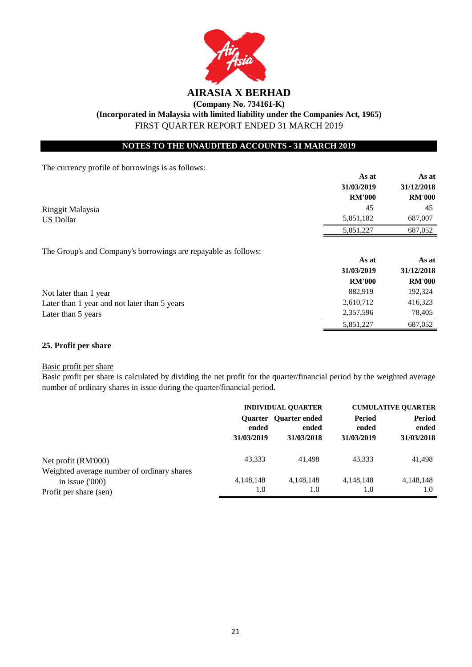

## **NOTES TO THE UNAUDITED ACCOUNTS - 31 MARCH 2019**

The currency profile of borrowings is as follows:

|                                                                | As at         | As at         |
|----------------------------------------------------------------|---------------|---------------|
|                                                                | 31/03/2019    | 31/12/2018    |
|                                                                | <b>RM'000</b> | <b>RM'000</b> |
| Ringgit Malaysia                                               | 45            | 45            |
| <b>US Dollar</b>                                               | 5,851,182     | 687,007       |
|                                                                | 5,851,227     | 687,052       |
| The Group's and Company's borrowings are repayable as follows: |               |               |
|                                                                | As at         | As at         |
|                                                                | 31/03/2019    | 31/12/2018    |
|                                                                | <b>RM'000</b> | <b>RM'000</b> |
| Not later than 1 year                                          | 882,919       | 192,324       |
| Later than 1 year and not later than 5 years                   | 2,610,712     | 416,323       |
| Later than 5 years                                             | 2,357,596     | 78,405        |
|                                                                | 5,851,227     | 687,052       |

## **25. Profit per share**

#### Basic profit per share

Basic profit per share is calculated by dividing the net profit for the quarter/financial period by the weighted average number of ordinary shares in issue during the quarter/financial period.

|                                                                                          | <b>INDIVIDUAL OUARTER</b> |                                              | <b>CUMULATIVE OUARTER</b>     |                                      |
|------------------------------------------------------------------------------------------|---------------------------|----------------------------------------------|-------------------------------|--------------------------------------|
|                                                                                          | ended<br>31/03/2019       | Quarter Quarter ended<br>ended<br>31/03/2018 | Period<br>ended<br>31/03/2019 | <b>Period</b><br>ended<br>31/03/2018 |
| Net profit (RM'000)                                                                      | 43,333                    | 41.498                                       | 43,333                        | 41,498                               |
| Weighted average number of ordinary shares<br>in issue $(000)$<br>Profit per share (sen) | 4,148,148<br>1.0          | 4,148,148<br>1.0                             | 4,148,148<br>1.0              | 4,148,148<br>1.0                     |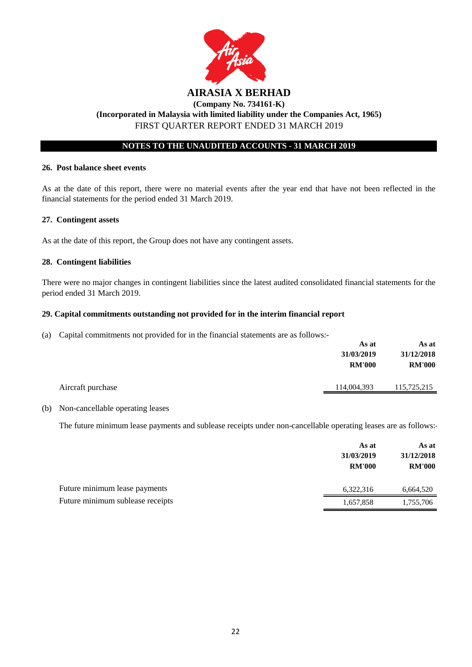

## **NOTES TO THE UNAUDITED ACCOUNTS - 31 MARCH 2019**

#### **26. Post balance sheet events**

As at the date of this report, there were no material events after the year end that have not been reflected in the financial statements for the period ended 31 March 2019.

## **27. Contingent assets**

As at the date of this report, the Group does not have any contingent assets.

## **28. Contingent liabilities**

There were no major changes in contingent liabilities since the latest audited consolidated financial statements for the period ended 31 March 2019.

## **29. Capital commitments outstanding not provided for in the interim financial report**

(a) Capital commitments not provided for in the financial statements are as follows:-

|                   | As at         | As at         |
|-------------------|---------------|---------------|
|                   | 31/03/2019    | 31/12/2018    |
|                   | <b>RM'000</b> | <b>RM'000</b> |
| Aircraft purchase | 114,004,393   | 115,725,215   |
|                   |               |               |

## (b) Non-cancellable operating leases

The future minimum lease payments and sublease receipts under non-cancellable operating leases are as follows:-

|                                  | As at<br>31/03/2019<br><b>RM'000</b> | As at<br>31/12/2018<br><b>RM'000</b> |
|----------------------------------|--------------------------------------|--------------------------------------|
| Future minimum lease payments    | 6,322,316                            | 6,664,520                            |
| Future minimum sublease receipts | 1,657,858                            | 1,755,706                            |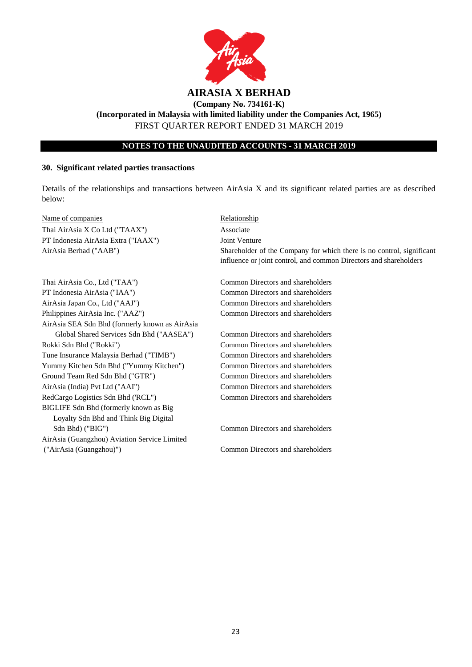

## **NOTES TO THE UNAUDITED ACCOUNTS - 31 MARCH 2019**

#### **30. Significant related parties transactions**

Details of the relationships and transactions between AirAsia X and its significant related parties are as described below:

Name of companies Relationship Thai AirAsia X Co Ltd ("TAAX") Associate PT Indonesia AirAsia Extra ("IAAX") Joint Venture AirAsia Berhad ("AAB")

Thai AirAsia Co., Ltd ("TAA") Common Directors and shareholders PT Indonesia AirAsia ("IAA") Common Directors and shareholders AirAsia Japan Co., Ltd ("AAJ") Common Directors and shareholders Philippines AirAsia Inc. ("AAZ") Common Directors and shareholders AirAsia SEA Sdn Bhd (formerly known as AirAsia Global Shared Services Sdn Bhd ("AASEA") Common Directors and shareholders Rokki Sdn Bhd ("Rokki") Common Directors and shareholders Tune Insurance Malaysia Berhad ("TIMB") Common Directors and shareholders Yummy Kitchen Sdn Bhd ("Yummy Kitchen") Common Directors and shareholders Ground Team Red Sdn Bhd ("GTR") Common Directors and shareholders AirAsia (India) Pvt Ltd ("AAI") Common Directors and shareholders RedCargo Logistics Sdn Bhd ('RCL'') Common Directors and shareholders BIGLIFE Sdn Bhd (formerly known as Big Loyalty Sdn Bhd and Think Big Digital Sdn Bhd) ("BIG") Common Directors and shareholders AirAsia (Guangzhou) Aviation Service Limited ("AirAsia (Guangzhou)") Common Directors and shareholders

Shareholder of the Company for which there is no control, significant influence or joint control, and common Directors and shareholders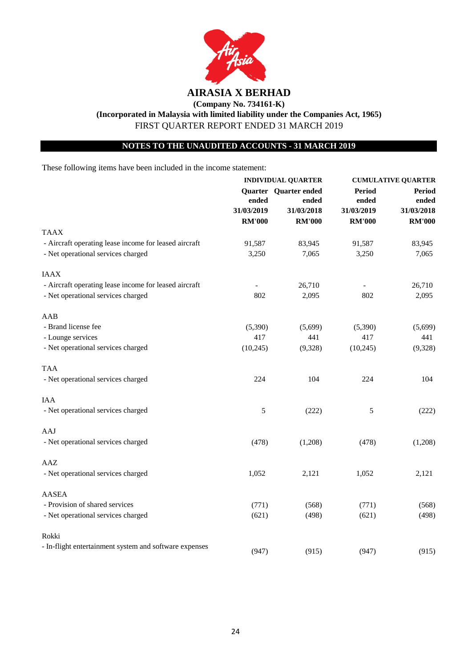

# **NOTES TO THE UNAUDITED ACCOUNTS - 31 MARCH 2019**

These following items have been included in the income statement:

|                                                        | <b>INDIVIDUAL QUARTER</b> |                       | <b>CUMULATIVE QUARTER</b> |                             |       |
|--------------------------------------------------------|---------------------------|-----------------------|---------------------------|-----------------------------|-------|
|                                                        | ended<br>31/03/2019       | Quarter Quarter ended | <b>Period</b>             | <b>Period</b>               |       |
|                                                        |                           |                       | ended                     | ended                       | ended |
|                                                        |                           | 31/03/2018            | 31/03/2019                | 31/03/2018<br><b>RM'000</b> |       |
|                                                        | <b>RM'000</b>             | <b>RM'000</b>         | <b>RM'000</b>             |                             |       |
| <b>TAAX</b>                                            |                           |                       |                           |                             |       |
| - Aircraft operating lease income for leased aircraft  | 91,587                    | 83,945                | 91,587                    | 83,945                      |       |
| - Net operational services charged                     | 3,250                     | 7,065                 | 3,250                     | 7,065                       |       |
| <b>IAAX</b>                                            |                           |                       |                           |                             |       |
| - Aircraft operating lease income for leased aircraft  |                           | 26,710                |                           | 26,710                      |       |
| - Net operational services charged                     | 802                       | 2,095                 | 802                       | 2,095                       |       |
| AAB                                                    |                           |                       |                           |                             |       |
| - Brand license fee                                    | (5,390)                   | (5,699)               | (5,390)                   | (5,699)                     |       |
| - Lounge services                                      | 417                       | 441                   | 417                       | 441                         |       |
| - Net operational services charged                     | (10, 245)                 | (9,328)               | (10, 245)                 | (9,328)                     |       |
| <b>TAA</b>                                             |                           |                       |                           |                             |       |
| - Net operational services charged                     | 224                       | 104                   | 224                       | 104                         |       |
| IAA                                                    |                           |                       |                           |                             |       |
| - Net operational services charged                     | 5                         | (222)                 | 5                         | (222)                       |       |
| AAJ                                                    |                           |                       |                           |                             |       |
| - Net operational services charged                     | (478)                     | (1,208)               | (478)                     | (1,208)                     |       |
| AAZ                                                    |                           |                       |                           |                             |       |
| - Net operational services charged                     | 1,052                     | 2,121                 | 1,052                     | 2,121                       |       |
| <b>AASEA</b>                                           |                           |                       |                           |                             |       |
| - Provision of shared services                         | (771)                     | (568)                 | (771)                     | (568)                       |       |
| - Net operational services charged                     | (621)                     | (498)                 | (621)                     | (498)                       |       |
| Rokki                                                  |                           |                       |                           |                             |       |
| - In-flight entertainment system and software expenses | (947)                     | (915)                 | (947)                     | (915)                       |       |
|                                                        |                           |                       |                           |                             |       |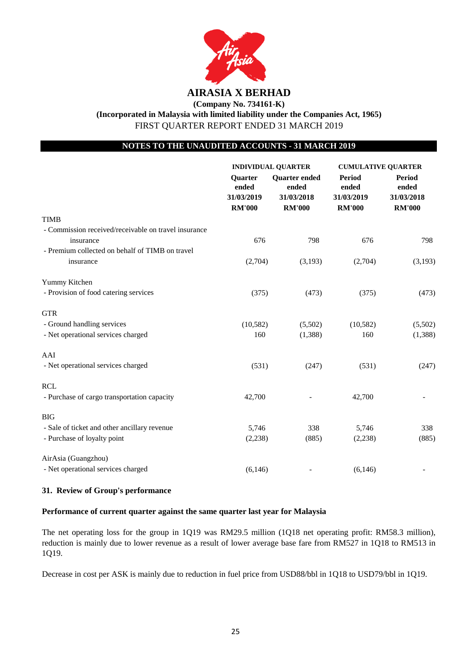

## **NOTES TO THE UNAUDITED ACCOUNTS - 31 MARCH 2019**

|                                                      | <b>INDIVIDUAL QUARTER</b>                       |                                                              | <b>CUMULATIVE QUARTER</b>                             |                                                       |
|------------------------------------------------------|-------------------------------------------------|--------------------------------------------------------------|-------------------------------------------------------|-------------------------------------------------------|
|                                                      | Quarter<br>ended<br>31/03/2019<br><b>RM'000</b> | <b>Quarter</b> ended<br>ended<br>31/03/2018<br><b>RM'000</b> | <b>Period</b><br>ended<br>31/03/2019<br><b>RM'000</b> | <b>Period</b><br>ended<br>31/03/2018<br><b>RM'000</b> |
| <b>TIMB</b>                                          |                                                 |                                                              |                                                       |                                                       |
| - Commission received/receivable on travel insurance |                                                 |                                                              |                                                       |                                                       |
| insurance                                            | 676                                             | 798                                                          | 676                                                   | 798                                                   |
| - Premium collected on behalf of TIMB on travel      |                                                 |                                                              |                                                       |                                                       |
| insurance                                            | (2,704)                                         | (3,193)                                                      | (2,704)                                               | (3,193)                                               |
| Yummy Kitchen                                        |                                                 |                                                              |                                                       |                                                       |
| - Provision of food catering services                | (375)                                           | (473)                                                        | (375)                                                 | (473)                                                 |
| <b>GTR</b>                                           |                                                 |                                                              |                                                       |                                                       |
| - Ground handling services                           | (10, 582)                                       | (5,502)                                                      | (10, 582)                                             | (5,502)                                               |
| - Net operational services charged                   | 160                                             | (1,388)                                                      | 160                                                   | (1,388)                                               |
| AAI                                                  |                                                 |                                                              |                                                       |                                                       |
| - Net operational services charged                   | (531)                                           | (247)                                                        | (531)                                                 | (247)                                                 |
| <b>RCL</b>                                           |                                                 |                                                              |                                                       |                                                       |
| - Purchase of cargo transportation capacity          | 42,700                                          |                                                              | 42,700                                                |                                                       |
| <b>BIG</b>                                           |                                                 |                                                              |                                                       |                                                       |
| - Sale of ticket and other ancillary revenue         | 5,746                                           | 338                                                          | 5,746                                                 | 338                                                   |
| - Purchase of loyalty point                          | (2,238)                                         | (885)                                                        | (2,238)                                               | (885)                                                 |
| AirAsia (Guangzhou)                                  |                                                 |                                                              |                                                       |                                                       |
| - Net operational services charged                   | (6, 146)                                        |                                                              | (6, 146)                                              |                                                       |

## **31. Review of Group's performance**

#### **Performance of current quarter against the same quarter last year for Malaysia**

The net operating loss for the group in 1Q19 was RM29.5 million (1Q18 net operating profit: RM58.3 million), reduction is mainly due to lower revenue as a result of lower average base fare from RM527 in 1Q18 to RM513 in 1Q19.

Decrease in cost per ASK is mainly due to reduction in fuel price from USD88/bbl in 1Q18 to USD79/bbl in 1Q19.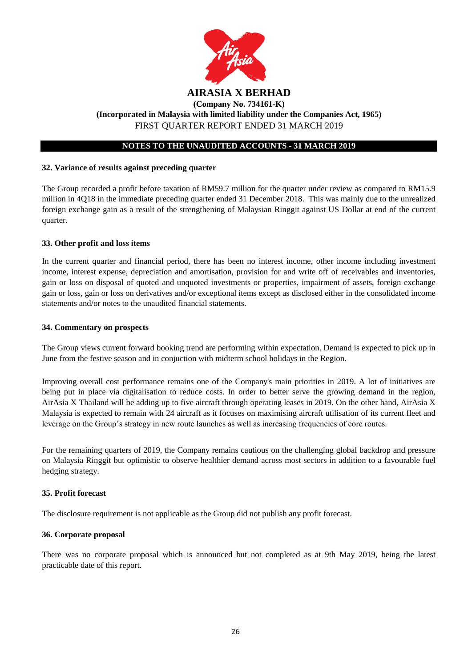

## **32. Variance of results against preceding quarter**

The Group recorded a profit before taxation of RM59.7 million for the quarter under review as compared to RM15.9 million in 4Q18 in the immediate preceding quarter ended 31 December 2018. This was mainly due to the unrealized foreign exchange gain as a result of the strengthening of Malaysian Ringgit against US Dollar at end of the current quarter.

#### **33. Other profit and loss items**

In the current quarter and financial period, there has been no interest income, other income including investment income, interest expense, depreciation and amortisation, provision for and write off of receivables and inventories, gain or loss on disposal of quoted and unquoted investments or properties, impairment of assets, foreign exchange gain or loss, gain or loss on derivatives and/or exceptional items except as disclosed either in the consolidated income statements and/or notes to the unaudited financial statements.

#### **34. Commentary on prospects**

The Group views current forward booking trend are performing within expectation. Demand is expected to pick up in June from the festive season and in conjuction with midterm school holidays in the Region.

Improving overall cost performance remains one of the Company's main priorities in 2019. A lot of initiatives are being put in place via digitalisation to reduce costs. In order to better serve the growing demand in the region, AirAsia X Thailand will be adding up to five aircraft through operating leases in 2019. On the other hand, AirAsia X Malaysia is expected to remain with 24 aircraft as it focuses on maximising aircraft utilisation of its current fleet and leverage on the Group's strategy in new route launches as well as increasing frequencies of core routes.

For the remaining quarters of 2019, the Company remains cautious on the challenging global backdrop and pressure on Malaysia Ringgit but optimistic to observe healthier demand across most sectors in addition to a favourable fuel hedging strategy.

#### **35. Profit forecast**

The disclosure requirement is not applicable as the Group did not publish any profit forecast.

#### **36. Corporate proposal**

There was no corporate proposal which is announced but not completed as at 9th May 2019, being the latest practicable date of this report.